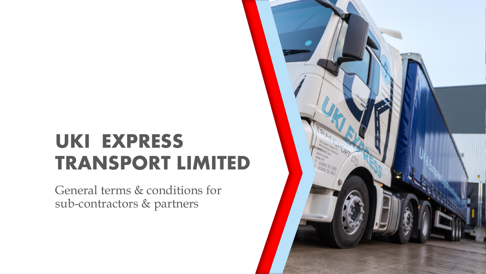# UKI EXPRESS TRANSPORT LIMITED

General terms & conditions for sub-contractors & partners

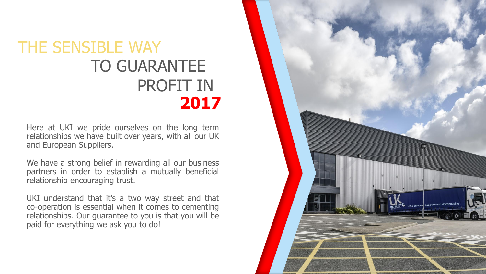# THE SENSIBLE WAY TO GUARANTEE PROFIT IN **2017**

Here at UKI we pride ourselves on the long term relationships we have built over years, with all our UK and European Suppliers.

We have a strong belief in rewarding all our business partners in order to establish a mutually beneficial relationship encouraging trust.

UKI understand that it's a two way street and that co-operation is essential when it comes to cementing relationships. Our guarantee to you is that you will be paid for everything we ask you to do!

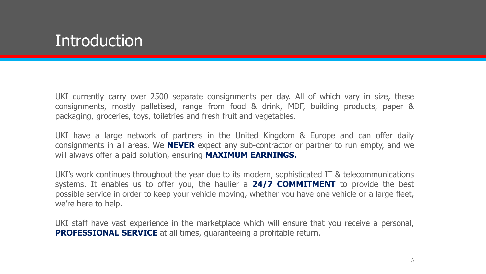# **Introduction**

UKI currently carry over 2500 separate consignments per day. All of which vary in size, these consignments, mostly palletised, range from food & drink, MDF, building products, paper & packaging, groceries, toys, toiletries and fresh fruit and vegetables.

UKI have a large network of partners in the United Kingdom & Europe and can offer daily consignments in all areas. We **NEVER** expect any sub-contractor or partner to run empty, and we will always offer a paid solution, ensuring **MAXIMUM EARNINGS.**

UKI's work continues throughout the year due to its modern, sophisticated IT & telecommunications systems. It enables us to offer you, the haulier a **24/7 COMMITMENT** to provide the best possible service in order to keep your vehicle moving, whether you have one vehicle or a large fleet, we're here to help.

UKI staff have vast experience in the marketplace which will ensure that you receive a personal, **PROFESSIONAL SERVICE** at all times, guaranteeing a profitable return.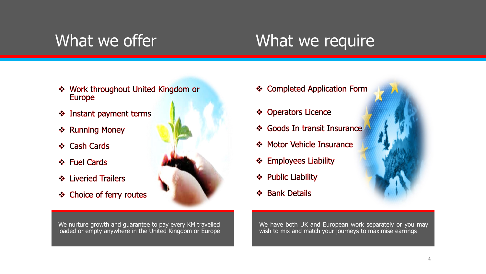# What we offer **What we require**

- ❖ Work throughout United Kingdom or **Europe**
- ❖ Instant payment terms
- ❖ Running Money
- ❖ Cash Cards
- ❖ Fuel Cards
- ❖ Liveried Trailers
- ❖ Choice of ferry routes



We nurture growth and guarantee to pay every KM travelled loaded or empty anywhere in the United Kingdom or Europe

- ❖ Completed Application Form
- ❖ Operators Licence
- ❖ Goods In transit Insurance
- ❖ Motor Vehicle Insurance
- ❖ Employees Liability
- ❖ Public Liability
- ❖ Bank Details

We have both UK and European work separately or you may wish to mix and match your journeys to maximise earrings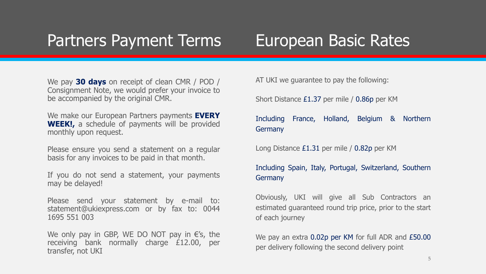# Partners Payment Terms

# European Basic Rates

We pay **30 days** on receipt of clean CMR / POD / Consignment Note, we would prefer your invoice to be accompanied by the original CMR.

We make our European Partners payments **EVERY WEEK!,** a schedule of payments will be provided monthly upon request.

Please ensure you send a statement on a regular basis for any invoices to be paid in that month.

If you do not send a statement, your payments may be delayed!

Please send your statement by e-mail to: statement@ukiexpress.com or by fax to: 0044 1695 551 003

We only pay in GBP, WE DO NOT pay in  $\epsilon$ 's, the receiving bank normally charge £12.00, per transfer, not UKI

AT UKI we guarantee to pay the following:

Short Distance £1.37 per mile / 0.86p per KM

Including France, Holland, Belgium & Northern **Germany** 

Long Distance £1.31 per mile / 0.82p per KM

Including Spain, Italy, Portugal, Switzerland, Southern Germany

Obviously, UKI will give all Sub Contractors an estimated guaranteed round trip price, prior to the start of each journey

We pay an extra 0.02p per KM for full ADR and £50.00 per delivery following the second delivery point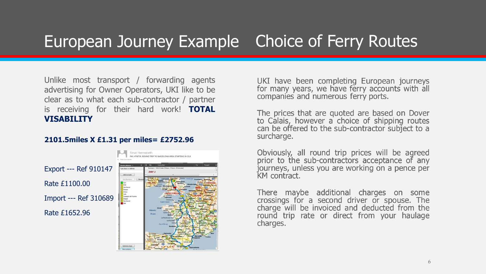# European Journey Example Choice of Ferry Routes

Unlike most transport / forwarding agents advertising for Owner Operators, UKI like to be clear as to what each sub-contractor / partner is receiving for their hard work! **TOTAL VISABILITY**

### **2101.5miles X £1.31 per miles= £2752.96**

Export --- Ref 910147 Rate £1100.00 Import --- Ref 310689 Rate £1652.96



UKI have been completing European journeys<br>for many years, we have ferry accounts with all<br>companies and numerous ferry ports.

The prices that are quoted are based on Dover<br>to Calais, however a choice of shipping routes<br>can be offered to the sub-contractor subject to a surcharge.

Obviously, all round trip prices will be agreed<br>prior to the sub-contractors acceptance of any<br>journeys, unless you are working on a pence per KM contract.

There maybe additional charges on some<br>crossings for a second driver or spouse. The<br>charge will be invoiced and deducted from the round trip rate or direct from your haulage charges.